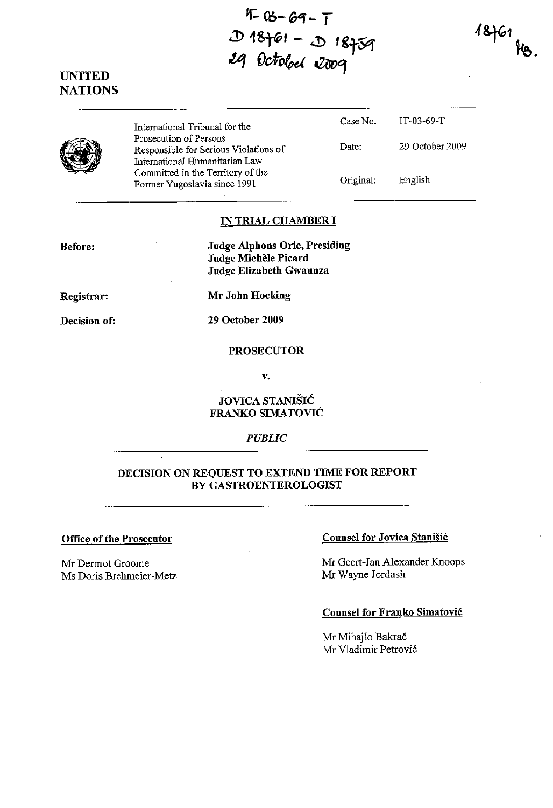$F-05-69-7$  $D$  18761 - J 18759 **.tI1 Octofpd eZôvGJ** 

 $18761$  Kg.



|  | International Tribunal for the                                                                    | Case No.  | IT-03-69-T      |
|--|---------------------------------------------------------------------------------------------------|-----------|-----------------|
|  | Prosecution of Persons<br>Responsible for Serious Violations of<br>International Humanitarian Law | Date:     | 29 October 2009 |
|  | Committed in the Territory of the<br>Former Yugoslavia since 1991                                 | Original: | English         |

### **IN TRIAL CHAMBER 1**

**Before:** 

**Judge AIphons Orie, Presiding Judge Michèle Picard Judge Elizabeth Gwaunza** 

**Registrar:** 

**Decision of:** 

**Mr John Hocking** 

**29 October 2009** 

## **PROSECUTOR**

v.

# **JOVICA STANISlé FRANKO SIMATOVIé**

## *PUBLIC*

## **DECISION ON REQUEST TO EXTEND TIME FOR REPORT BY GASTROENTEROLOGIST**

### **Office of the Prosecutor**

Mr Dermot Groome Ms Doris Brehmeier-Metz

## **Counsel for Jovica Stanisié**

Mr Geert-Jan Alexander Knoops Mr Wayne Jordash

### **Counsel for Franko Simatovié**

Mr Mihajlo Bakrač Mr Vladimir Petrovié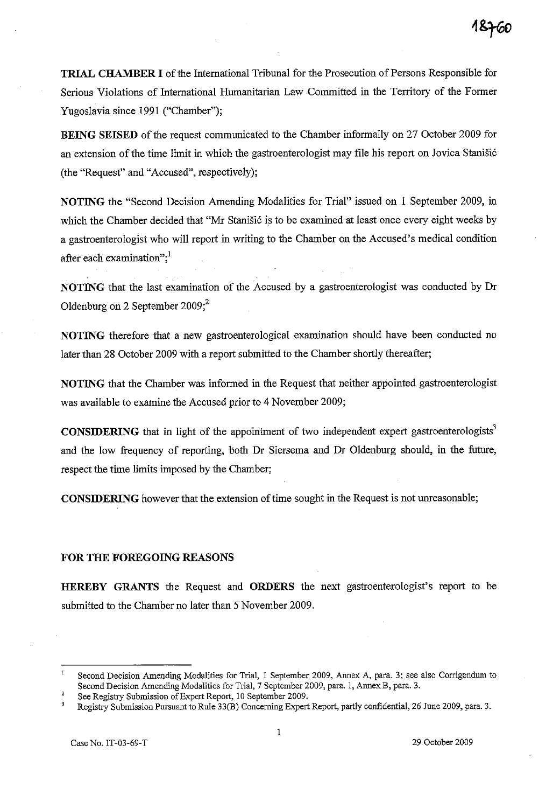TRIAL CHAMBER 1 of the International Tribunal for the Prosecution of Persons Responsible for Serious Violations of International Humanitarian Law Committed in the Territory of the Former Yugoslavia since 1991 ("Chamber");

BEING SEISED of the request communicated to the Chamber informally on 27 October 2009 for an extension of the time limit in which the gastroenterologist may file his report on Jovica Stanisié (the "Request" and "Accused", respectively);

NOTING the "Second Decision Amending Modalities for Trial" issued on 1 September 2009, in which the Chamber decided that "Mr Stanisié is to be examined at least once every eight weeks by a gastroenterologist who will report in writing to the Chamber on the Accused's medical condition after each examination"; $<sup>1</sup>$ </sup>

NOTING that the last examination of the Accused by a gastroenterologist was conducted by Dr Oldenburg on 2 September  $2009;^2$ 

NOTING therefore that a new gastroenterological examination should have been conducted no later than 28 October 2009 with a report submitted to the Chamber shortly thereafter;

NOTING that the Chamber was informed in the Request that neither appointed gastroenterologist was available to examine the Accused prior to 4 November 2009;

**CONSIDERING** that in light of the appointment of two independent expert gastroenterologists<sup>3</sup> and the low frequency of reporting, both Dr Siersema and Dr Oldenburg should, in the future, respect the time limits imposed by the Chamber;

CONSIDERING however that the extension of time sought in the Request is not unreasonable;

### FOR THE FOREGOING REASONS

HEREBY GRANTS the Request and ORDERS the next gastroenterologist's report to be submitted to the Chamber no later than 5 November 2009.

 $\mathbf{I}$ Second Decision Amending Modalities for Trial, 1 September 2009, Annex A, para. 3; see also Corrigendum to Second Decision Amending Modalities for Trial, 7 September 2009, para. l, Annex B, para. 3.

 $\overline{2}$ See Registry Submission of Expert Report, 10 September 2009.

 $\overline{\mathbf{3}}$ Registry Submission Pursuant to Rule 33(B) Concerning Expert Report, partly confidential, 26 June 2009, para. 3.